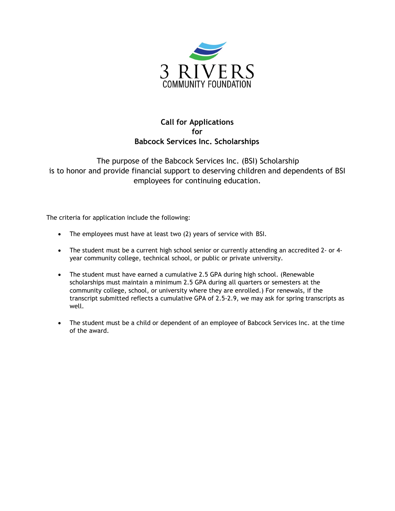

## **Call for Applications for Babcock Services Inc. Scholarships**

The purpose of the Babcock Services Inc. (BSI) Scholarship is to honor and provide financial support to deserving children and dependents of BSI employees for continuing education.

The criteria for application include the following:

- The employees must have at least two (2) years of service with BSI.
- The student must be a current high school senior or currently attending an accredited 2- or 4 year community college, technical school, or public or private university.
- The student must have earned a cumulative 2.5 GPA during high school. (Renewable scholarships must maintain a minimum 2.5 GPA during all quarters or semesters at the community college, school, or university where they are enrolled.) For renewals, if the transcript submitted reflects a cumulative GPA of 2.5-2.9, we may ask for spring transcripts as well.
- The student must be a child or dependent of an employee of Babcock Services Inc. at the time of the award.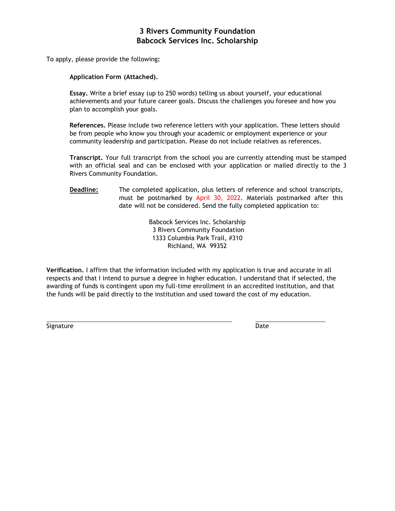#### **3 Rivers Community Foundation Babcock Services Inc. Scholarship**

To apply, please provide the following**:** 

#### **Application Form (Attached).**

**Essay.** Write a brief essay (up to 250 words) telling us about yourself, your educational achievements and your future career goals. Discuss the challenges you foresee and how you plan to accomplish your goals.

**References.** Please include two reference letters with your application. These letters should be from people who know you through your academic or employment experience or your community leadership and participation. Please do not include relatives as references.

**Transcript.** Your full transcript from the school you are currently attending must be stamped with an official seal and can be enclosed with your application or mailed directly to the 3 Rivers Community Foundation.

**Deadline:** The completed application, plus letters of reference and school transcripts, must be postmarked by April 30, 2022. Materials postmarked after this date will not be considered. Send the fully completed application to:

> Babcock Services Inc. Scholarship 3 Rivers Community Foundation 1333 Columbia Park Trail, #310 Richland, WA 99352

**Verification.** I affirm that the information included with my application is true and accurate in all respects and that I intend to pursue a degree in higher education. I understand that if selected, the awarding of funds is contingent upon my full-time enrollment in an accredited institution, and that the funds will be paid directly to the institution and used toward the cost of my education.

Signature Date Date Communications and the Date Date Date Date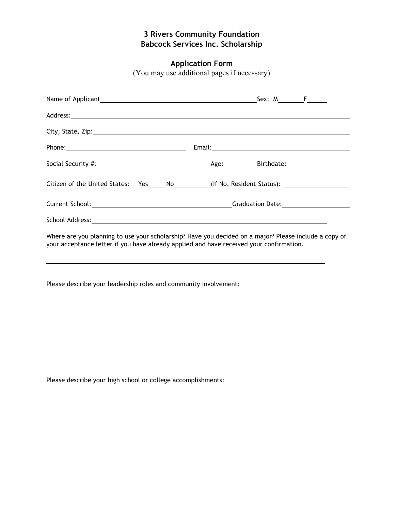# **3 Rivers Community Foundation Babcock Services Inc. Scholarship**

## **Application Form**

(You may use additional pages if necessary)

| Citizen of the United States: Yes_____No__________(If No, Resident Status): ________________________                                                                                                                           |  |  |  |
|--------------------------------------------------------------------------------------------------------------------------------------------------------------------------------------------------------------------------------|--|--|--|
|                                                                                                                                                                                                                                |  |  |  |
| School Address: New York Contract to the Contract of the Contract of the Contract of the Contract of the Contract of the Contract of the Contract of the Contract of the Contract of the Contract of the Contract of the Contr |  |  |  |
| Where are you planning to use your scholarship? Have you decided on a major? Please include a copy of<br>your acceptance letter if you have already applied and have received your confirmation.                               |  |  |  |

Please describe your leadership roles and community involvement:

Please describe your high school or college accomplishments: